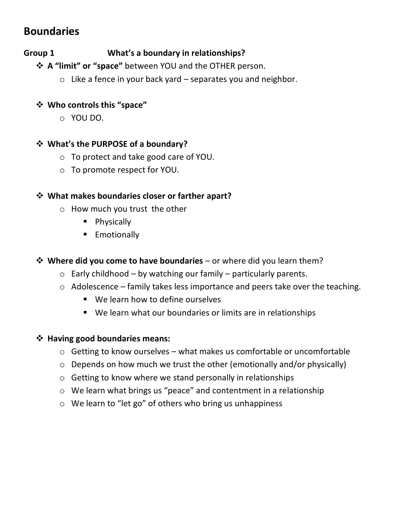# **Boundaries**

# **Group 1 What's a boundary in relationships?**

❖ **A "limit" or "space"** between YOU and the OTHER person.

 $\circ$  Like a fence in your back yard – separates you and neighbor.

# ❖ **Who controls this "space"**

o YOU DO.

# ❖ **What's the PURPOSE of a boundary?**

- o To protect and take good care of YOU.
- o To promote respect for YOU.

# ❖ **What makes boundaries closer or farther apart?**

- o How much you trust the other
	- Physically
	- **Emotionally**

# ❖ **Where did you come to have boundaries** – or where did you learn them?

- $\circ$  Early childhood by watching our family particularly parents.
- $\circ$  Adolescence family takes less importance and peers take over the teaching.
	- We learn how to define ourselves
	- We learn what our boundaries or limits are in relationships

## ❖ **Having good boundaries means:**

- $\circ$  Getting to know ourselves what makes us comfortable or uncomfortable
- $\circ$  Depends on how much we trust the other (emotionally and/or physically)
- o Getting to know where we stand personally in relationships
- o We learn what brings us "peace" and contentment in a relationship
- o We learn to "let go" of others who bring us unhappiness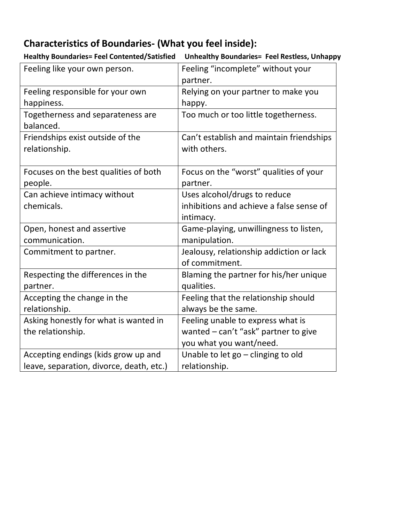# **Characteristics of Boundaries- (What you feel inside):**

| Feeling like your own person.            | Feeling "incomplete" without your        |
|------------------------------------------|------------------------------------------|
|                                          | partner.                                 |
| Feeling responsible for your own         | Relying on your partner to make you      |
| happiness.                               | happy.                                   |
| Togetherness and separateness are        | Too much or too little togetherness.     |
| balanced.                                |                                          |
| Friendships exist outside of the         | Can't establish and maintain friendships |
| relationship.                            | with others.                             |
|                                          |                                          |
| Focuses on the best qualities of both    | Focus on the "worst" qualities of your   |
| people.                                  | partner.                                 |
| Can achieve intimacy without             | Uses alcohol/drugs to reduce             |
| chemicals.                               | inhibitions and achieve a false sense of |
|                                          | intimacy.                                |
| Open, honest and assertive               | Game-playing, unwillingness to listen,   |
| communication.                           | manipulation.                            |
| Commitment to partner.                   | Jealousy, relationship addiction or lack |
|                                          | of commitment.                           |
| Respecting the differences in the        | Blaming the partner for his/her unique   |
| partner.                                 | qualities.                               |
| Accepting the change in the              | Feeling that the relationship should     |
| relationship.                            | always be the same.                      |
| Asking honestly for what is wanted in    | Feeling unable to express what is        |
| the relationship.                        | wanted - can't "ask" partner to give     |
|                                          | you what you want/need.                  |
| Accepting endings (kids grow up and      | Unable to let go - clinging to old       |
| leave, separation, divorce, death, etc.) | relationship.                            |

**Healthy Boundaries= Feel Contented/Satisfied Unhealthy Boundaries= Feel Restless, Unhappy**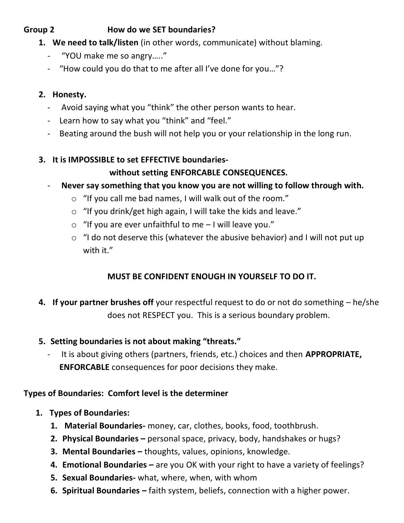# **Group 2 How do we SET boundaries?**

- **1. We need to talk/listen** (in other words, communicate) without blaming.
	- "YOU make me so angry….."
	- "How could you do that to me after all I've done for you…"?

# **2. Honesty.**

- Avoid saying what you "think" the other person wants to hear.
- Learn how to say what you "think" and "feel."
- Beating around the bush will not help you or your relationship in the long run.

# **3. It is IMPOSSIBLE to set EFFECTIVE boundaries-**

# **without setting ENFORCABLE CONSEQUENCES.**

- **Never say something that you know you are not willing to follow through with.**
	- o "If you call me bad names, I will walk out of the room."
	- o "If you drink/get high again, I will take the kids and leave."
	- $\circ$  "If you are ever unfaithful to me I will leave you."
	- o "I do not deserve this (whatever the abusive behavior) and I will not put up with it."

# **MUST BE CONFIDENT ENOUGH IN YOURSELF TO DO IT.**

- **4. If your partner brushes off** your respectful request to do or not do something he/she does not RESPECT you. This is a serious boundary problem.
- **5. Setting boundaries is not about making "threats."** 
	- It is about giving others (partners, friends, etc.) choices and then **APPROPRIATE, ENFORCABLE** consequences for poor decisions they make.

# **Types of Boundaries: Comfort level is the determiner**

- **1. Types of Boundaries:**
	- **1. Material Boundaries-** money, car, clothes, books, food, toothbrush.
	- **2. Physical Boundaries –** personal space, privacy, body, handshakes or hugs?
	- **3. Mental Boundaries –** thoughts, values, opinions, knowledge.
	- **4. Emotional Boundaries –** are you OK with your right to have a variety of feelings?
	- **5. Sexual Boundaries-** what, where, when, with whom
	- **6. Spiritual Boundaries –** faith system, beliefs, connection with a higher power.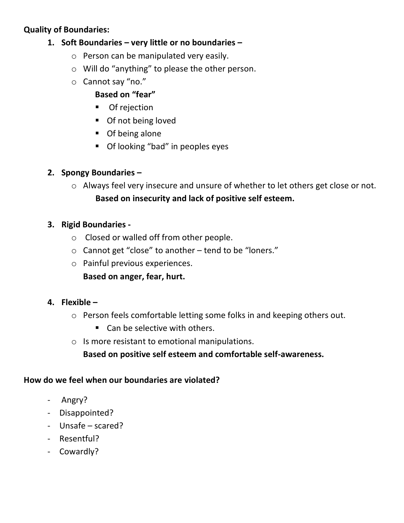# **Quality of Boundaries:**

# **1. Soft Boundaries – very little or no boundaries –**

- o Person can be manipulated very easily.
- o Will do "anything" to please the other person.
- o Cannot say "no."

# **Based on "fear"**

- Of rejection
- Of not being loved
- Of being alone
- Of looking "bad" in peoples eyes

# **2. Spongy Boundaries –**

o Always feel very insecure and unsure of whether to let others get close or not.  **Based on insecurity and lack of positive self esteem.**

# **3. Rigid Boundaries -**

- o Closed or walled off from other people.
- o Cannot get "close" to another tend to be "loners."
- o Painful previous experiences.
	- **Based on anger, fear, hurt.**
- **4. Flexible –**
	- o Person feels comfortable letting some folks in and keeping others out.
		- Can be selective with others.
	- o Is more resistant to emotional manipulations.

# **Based on positive self esteem and comfortable self-awareness.**

# **How do we feel when our boundaries are violated?**

- Angry?
- Disappointed?
- Unsafe scared?
- Resentful?
- Cowardly?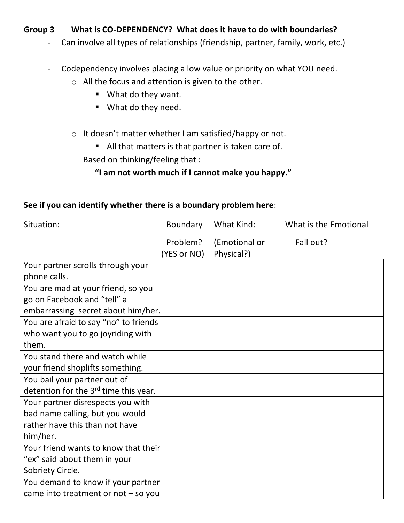# **Group 3 What is CO-DEPENDENCY? What does it have to do with boundaries?**

- Can involve all types of relationships (friendship, partner, family, work, etc.)
- Codependency involves placing a low value or priority on what YOU need.
	- o All the focus and attention is given to the other.
		- What do they want.
		- What do they need.
	- o It doesn't matter whether I am satisfied/happy or not.
		- All that matters is that partner is taken care of.

Based on thinking/feeling that :

# **"I am not worth much if I cannot make you happy."**

### **See if you can identify whether there is a boundary problem here**:

You demand to know if your partner came into treatment or not – so you

| Situation:                                        | Boundary                | What Kind:                  | What is the Emotional |  |
|---------------------------------------------------|-------------------------|-----------------------------|-----------------------|--|
|                                                   | Problem?<br>(YES or NO) | (Emotional or<br>Physical?) | Fall out?             |  |
| Your partner scrolls through your                 |                         |                             |                       |  |
| phone calls.                                      |                         |                             |                       |  |
| You are mad at your friend, so you                |                         |                             |                       |  |
| go on Facebook and "tell" a                       |                         |                             |                       |  |
| embarrassing secret about him/her.                |                         |                             |                       |  |
| You are afraid to say "no" to friends             |                         |                             |                       |  |
| who want you to go joyriding with                 |                         |                             |                       |  |
| them.                                             |                         |                             |                       |  |
| You stand there and watch while                   |                         |                             |                       |  |
| your friend shoplifts something.                  |                         |                             |                       |  |
| You bail your partner out of                      |                         |                             |                       |  |
| detention for the 3 <sup>rd</sup> time this year. |                         |                             |                       |  |
| Your partner disrespects you with                 |                         |                             |                       |  |
| bad name calling, but you would                   |                         |                             |                       |  |
| rather have this than not have                    |                         |                             |                       |  |
| him/her.                                          |                         |                             |                       |  |
| Your friend wants to know that their              |                         |                             |                       |  |
| "ex" said about them in your                      |                         |                             |                       |  |
| Sobriety Circle.                                  |                         |                             |                       |  |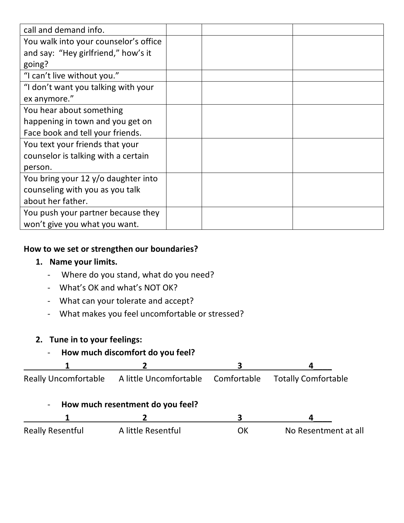| call and demand info.                 |  |  |
|---------------------------------------|--|--|
| You walk into your counselor's office |  |  |
| and say: "Hey girlfriend," how's it   |  |  |
| going?                                |  |  |
| "I can't live without you."           |  |  |
| "I don't want you talking with your   |  |  |
| ex anymore."                          |  |  |
| You hear about something              |  |  |
| happening in town and you get on      |  |  |
| Face book and tell your friends.      |  |  |
| You text your friends that your       |  |  |
| counselor is talking with a certain   |  |  |
| person.                               |  |  |
| You bring your 12 y/o daughter into   |  |  |
| counseling with you as you talk       |  |  |
| about her father.                     |  |  |
| You push your partner because they    |  |  |
| won't give you what you want.         |  |  |

# **How to we set or strengthen our boundaries?**

## **1. Name your limits.**

- Where do you stand, what do you need?
- What's OK and what's NOT OK?
- What can your tolerate and accept?
- What makes you feel uncomfortable or stressed?

# **2. Tune in to your feelings:**

# - **How much discomfort do you feel?**

| Really Uncomfortable A little Uncomfortable Comfortable Totally Comfortable |  |
|-----------------------------------------------------------------------------|--|

# - **How much resentment do you feel?**

| <b>Really Resentful</b> | A little Resentful | OK | No Resentment at all |
|-------------------------|--------------------|----|----------------------|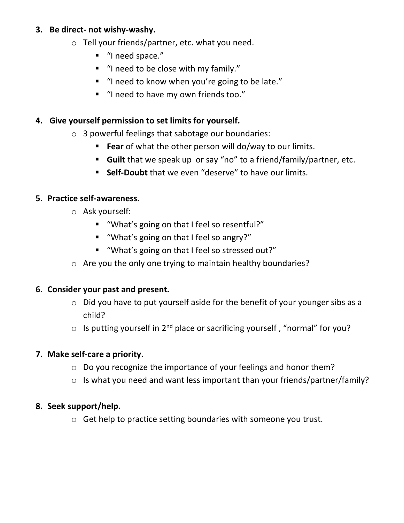# **3. Be direct- not wishy-washy.**

- o Tell your friends/partner, etc. what you need.
	- "I need space."
	- "I need to be close with my family."
	- "I need to know when you're going to be late."
	- "I need to have my own friends too."

# **4. Give yourself permission to set limits for yourself.**

- o 3 powerful feelings that sabotage our boundaries:
	- **Fear** of what the other person will do/way to our limits.
	- **Guilt** that we speak up or say "no" to a friend/family/partner, etc.
	- **Self-Doubt** that we even "deserve" to have our limits.

# **5. Practice self-awareness.**

- o Ask yourself:
	- "What's going on that I feel so resentful?"
	- "What's going on that I feel so angry?"
	- "What's going on that I feel so stressed out?"
- o Are you the only one trying to maintain healthy boundaries?

# **6. Consider your past and present.**

- o Did you have to put yourself aside for the benefit of your younger sibs as a child?
- $\circ$  Is putting yourself in 2<sup>nd</sup> place or sacrificing yourself, "normal" for you?

# **7. Make self-care a priority.**

- o Do you recognize the importance of your feelings and honor them?
- o Is what you need and want less important than your friends/partner/family?

# **8. Seek support/help.**

o Get help to practice setting boundaries with someone you trust.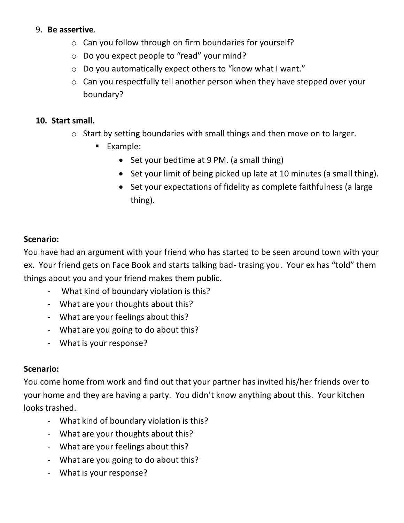## 9. **Be assertive**.

- o Can you follow through on firm boundaries for yourself?
- o Do you expect people to "read" your mind?
- o Do you automatically expect others to "know what I want."
- o Can you respectfully tell another person when they have stepped over your boundary?

#### **10. Start small.**

- o Start by setting boundaries with small things and then move on to larger.
	- Example:
		- Set your bedtime at 9 PM. (a small thing)
		- Set your limit of being picked up late at 10 minutes (a small thing).
		- Set your expectations of fidelity as complete faithfulness (a large thing).

### **Scenario:**

You have had an argument with your friend who has started to be seen around town with your ex. Your friend gets on Face Book and starts talking bad- trasing you. Your ex has "told" them things about you and your friend makes them public.

- What kind of boundary violation is this?
- What are your thoughts about this?
- What are your feelings about this?
- What are you going to do about this?
- What is your response?

## **Scenario:**

You come home from work and find out that your partner has invited his/her friends over to your home and they are having a party. You didn't know anything about this. Your kitchen looks trashed.

- What kind of boundary violation is this?
- What are your thoughts about this?
- What are your feelings about this?
- What are you going to do about this?
- What is your response?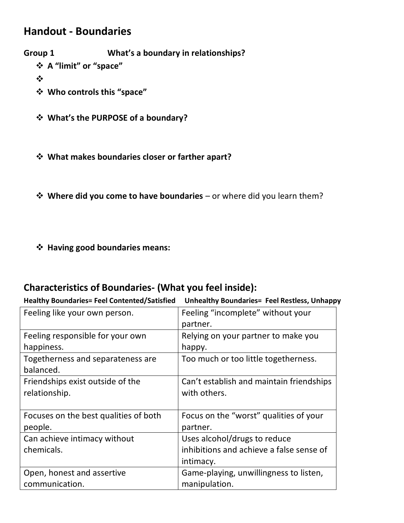# **Handout - Boundaries**

**Group 1 What's a boundary in relationships?**

❖ **A "limit" or "space"**

❖

- ❖ **Who controls this "space"**
- ❖ **What's the PURPOSE of a boundary?**
- ❖ **What makes boundaries closer or farther apart?**
- ❖ **Where did you come to have boundaries** or where did you learn them?
- ❖ **Having good boundaries means:**

# **Characteristics of Boundaries- (What you feel inside):**

**Healthy Boundaries= Feel Contented/Satisfied Unhealthy Boundaries= Feel Restless, Unhappy**

| Feeling like your own person.         | Feeling "incomplete" without your<br>partner. |
|---------------------------------------|-----------------------------------------------|
| Feeling responsible for your own      | Relying on your partner to make you           |
| happiness.                            | happy.                                        |
| Togetherness and separateness are     | Too much or too little togetherness.          |
| balanced.                             |                                               |
| Friendships exist outside of the      | Can't establish and maintain friendships      |
| relationship.                         | with others.                                  |
|                                       |                                               |
| Focuses on the best qualities of both | Focus on the "worst" qualities of your        |
| people.                               | partner.                                      |
| Can achieve intimacy without          | Uses alcohol/drugs to reduce                  |
| chemicals.                            | inhibitions and achieve a false sense of      |
|                                       | intimacy.                                     |
| Open, honest and assertive            | Game-playing, unwillingness to listen,        |
| communication.                        | manipulation.                                 |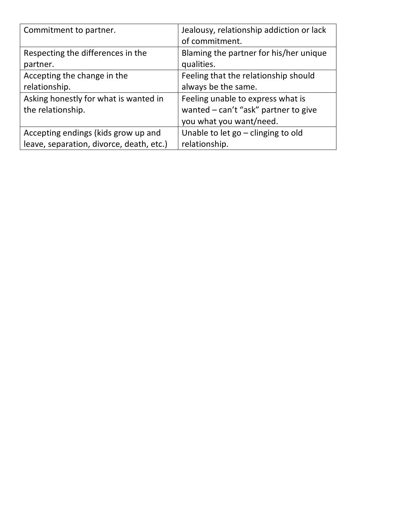| Commitment to partner.                   | Jealousy, relationship addiction or lack |
|------------------------------------------|------------------------------------------|
|                                          | of commitment.                           |
| Respecting the differences in the        | Blaming the partner for his/her unique   |
| partner.                                 | qualities.                               |
| Accepting the change in the              | Feeling that the relationship should     |
| relationship.                            | always be the same.                      |
| Asking honestly for what is wanted in    | Feeling unable to express what is        |
| the relationship.                        | wanted – can't "ask" partner to give     |
|                                          | you what you want/need.                  |
| Accepting endings (kids grow up and      | Unable to let $go$ – clinging to old     |
| leave, separation, divorce, death, etc.) | relationship.                            |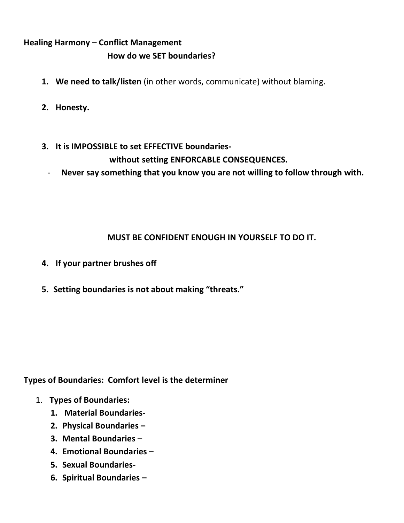# **Healing Harmony – Conflict Management How do we SET boundaries?**

- **1. We need to talk/listen** (in other words, communicate) without blaming.
- **2. Honesty.**
- **3. It is IMPOSSIBLE to set EFFECTIVE boundarieswithout setting ENFORCABLE CONSEQUENCES.**
	- **Never say something that you know you are not willing to follow through with.**

# **MUST BE CONFIDENT ENOUGH IN YOURSELF TO DO IT.**

- **4. If your partner brushes off**
- **5. Setting boundaries is not about making "threats."**

**Types of Boundaries: Comfort level is the determiner**

- 1. **Types of Boundaries:**
	- **1. Material Boundaries-**
	- **2. Physical Boundaries –**
	- **3. Mental Boundaries –**
	- **4. Emotional Boundaries –**
	- **5. Sexual Boundaries-**
	- **6. Spiritual Boundaries –**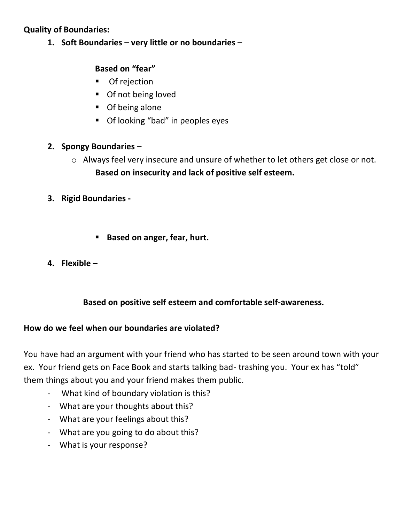# **Quality of Boundaries:**

**1. Soft Boundaries – very little or no boundaries –**

# **Based on "fear"**

- Of rejection
- Of not being loved
- Of being alone
- Of looking "bad" in peoples eyes

## **2. Spongy Boundaries –**

- o Always feel very insecure and unsure of whether to let others get close or not.  **Based on insecurity and lack of positive self esteem.**
- **3. Rigid Boundaries** 
	- **Based on anger, fear, hurt.**
- **4. Flexible –**

# **Based on positive self esteem and comfortable self-awareness.**

## **How do we feel when our boundaries are violated?**

You have had an argument with your friend who has started to be seen around town with your ex. Your friend gets on Face Book and starts talking bad- trashing you. Your ex has "told" them things about you and your friend makes them public.

- What kind of boundary violation is this?
- What are your thoughts about this?
- What are your feelings about this?
- What are you going to do about this?
- What is your response?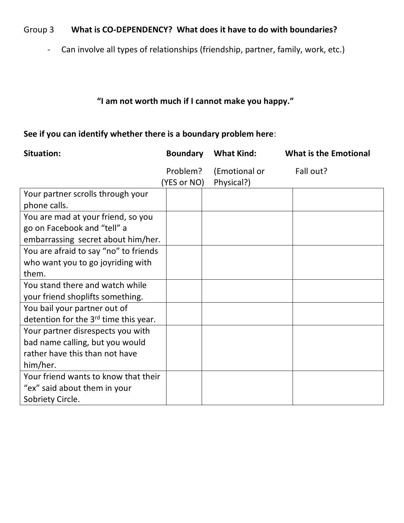# Group 3 **What is CO-DEPENDENCY? What does it have to do with boundaries?**

- Can involve all types of relationships (friendship, partner, family, work, etc.)

# **"I am not worth much if I cannot make you happy."**

# **See if you can identify whether there is a boundary problem here**:

| <b>Situation:</b>                                 | <b>Boundary</b> | <b>What Kind:</b> | <b>What is the Emotional</b> |
|---------------------------------------------------|-----------------|-------------------|------------------------------|
|                                                   | Problem?        | (Emotional or     | Fall out?                    |
|                                                   | (YES or NO)     | Physical?)        |                              |
| Your partner scrolls through your                 |                 |                   |                              |
| phone calls.                                      |                 |                   |                              |
| You are mad at your friend, so you                |                 |                   |                              |
| go on Facebook and "tell" a                       |                 |                   |                              |
| embarrassing secret about him/her.                |                 |                   |                              |
| You are afraid to say "no" to friends             |                 |                   |                              |
| who want you to go joyriding with                 |                 |                   |                              |
| them.                                             |                 |                   |                              |
| You stand there and watch while                   |                 |                   |                              |
| your friend shoplifts something.                  |                 |                   |                              |
| You bail your partner out of                      |                 |                   |                              |
| detention for the 3 <sup>rd</sup> time this year. |                 |                   |                              |
| Your partner disrespects you with                 |                 |                   |                              |
| bad name calling, but you would                   |                 |                   |                              |
| rather have this than not have                    |                 |                   |                              |
| him/her.                                          |                 |                   |                              |
| Your friend wants to know that their              |                 |                   |                              |
| "ex" said about them in your                      |                 |                   |                              |
| Sobriety Circle.                                  |                 |                   |                              |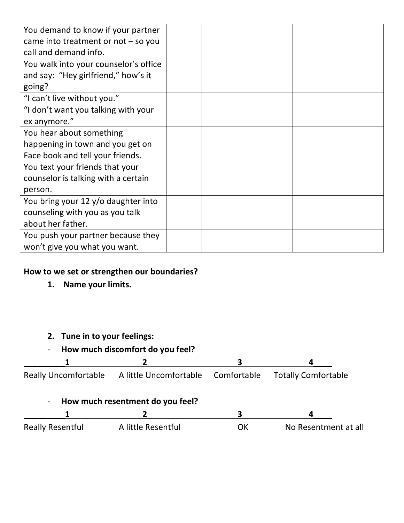| You demand to know if your partner    |  |  |
|---------------------------------------|--|--|
| came into treatment or $not$ – so you |  |  |
| call and demand info.                 |  |  |
| You walk into your counselor's office |  |  |
| and say: "Hey girlfriend," how's it   |  |  |
| going?                                |  |  |
| "I can't live without you."           |  |  |
| "I don't want you talking with your   |  |  |
| ex anymore."                          |  |  |
| You hear about something              |  |  |
| happening in town and you get on      |  |  |
| Face book and tell your friends.      |  |  |
| You text your friends that your       |  |  |
| counselor is talking with a certain   |  |  |
| person.                               |  |  |
| You bring your 12 y/o daughter into   |  |  |
| counseling with you as you talk       |  |  |
| about her father.                     |  |  |
| You push your partner because they    |  |  |
| won't give you what you want.         |  |  |

# **How to we set or strengthen our boundaries?**

**1. Name your limits.**

# **2. Tune in to your feelings:**

- **How much discomfort do you feel?** 

| <b>Really Uncomfortable</b> | A little Uncomfortable           | Comfortable | <b>Totally Comfortable</b> |
|-----------------------------|----------------------------------|-------------|----------------------------|
| $\blacksquare$              | How much resentment do you feel? |             |                            |
|                             |                                  |             |                            |
| <b>Really Resentful</b>     | A little Resentful               | OK          | No Resentment at all       |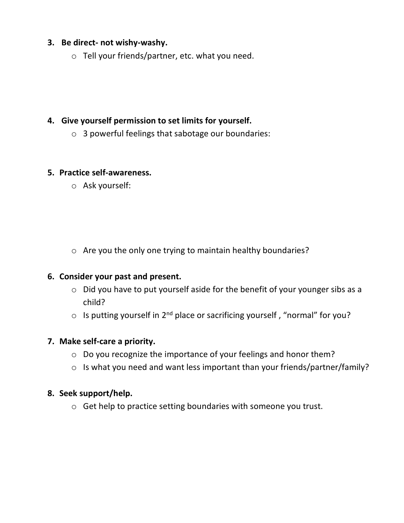## **3. Be direct- not wishy-washy.**

o Tell your friends/partner, etc. what you need.

# **4. Give yourself permission to set limits for yourself.**

o 3 powerful feelings that sabotage our boundaries:

### **5. Practice self-awareness.**

o Ask yourself:

o Are you the only one trying to maintain healthy boundaries?

## **6. Consider your past and present.**

- o Did you have to put yourself aside for the benefit of your younger sibs as a child?
- $\circ$  Is putting yourself in 2<sup>nd</sup> place or sacrificing yourself, "normal" for you?

## **7. Make self-care a priority.**

- o Do you recognize the importance of your feelings and honor them?
- o Is what you need and want less important than your friends/partner/family?

#### **8. Seek support/help.**

o Get help to practice setting boundaries with someone you trust.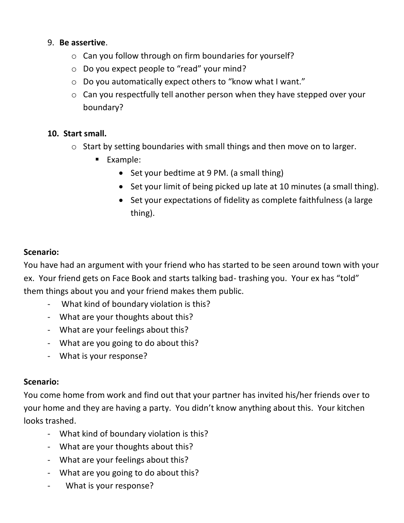# 9. **Be assertive**.

- o Can you follow through on firm boundaries for yourself?
- o Do you expect people to "read" your mind?
- o Do you automatically expect others to "know what I want."
- o Can you respectfully tell another person when they have stepped over your boundary?

## **10. Start small.**

- o Start by setting boundaries with small things and then move on to larger.
	- Example:
		- Set your bedtime at 9 PM. (a small thing)
		- Set your limit of being picked up late at 10 minutes (a small thing).
		- Set your expectations of fidelity as complete faithfulness (a large thing).

### **Scenario:**

You have had an argument with your friend who has started to be seen around town with your ex. Your friend gets on Face Book and starts talking bad- trashing you. Your ex has "told" them things about you and your friend makes them public.

- What kind of boundary violation is this?
- What are your thoughts about this?
- What are your feelings about this?
- What are you going to do about this?
- What is your response?

#### **Scenario:**

You come home from work and find out that your partner has invited his/her friends over to your home and they are having a party. You didn't know anything about this. Your kitchen looks trashed.

- What kind of boundary violation is this?
- What are your thoughts about this?
- What are your feelings about this?
- What are you going to do about this?
- What is your response?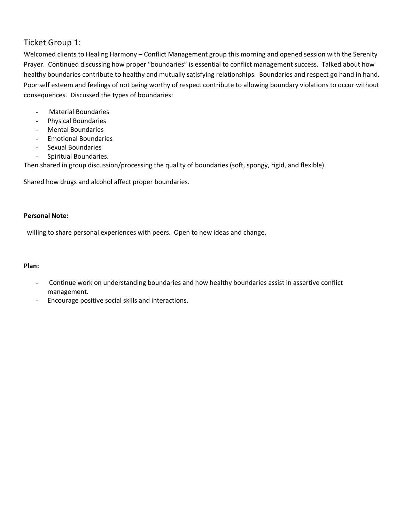## Ticket Group 1:

Welcomed clients to Healing Harmony – Conflict Management group this morning and opened session with the Serenity Prayer. Continued discussing how proper "boundaries" is essential to conflict management success. Talked about how healthy boundaries contribute to healthy and mutually satisfying relationships. Boundaries and respect go hand in hand. Poor self esteem and feelings of not being worthy of respect contribute to allowing boundary violations to occur without consequences. Discussed the types of boundaries:

- Material Boundaries
- Physical Boundaries
- Mental Boundaries
- Emotional Boundaries
- Sexual Boundaries
- Spiritual Boundaries.

Then shared in group discussion/processing the quality of boundaries (soft, spongy, rigid, and flexible).

Shared how drugs and alcohol affect proper boundaries.

#### **Personal Note:**

willing to share personal experiences with peers. Open to new ideas and change.

#### **Plan:**

- Continue work on understanding boundaries and how healthy boundaries assist in assertive conflict management.
- Encourage positive social skills and interactions.